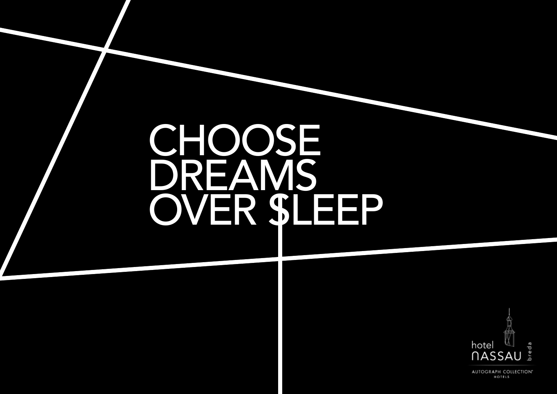# CHOOSE DREAMS\_ OVER SLEEP



**AUTOGRAPH COLLECTION®** HOTELS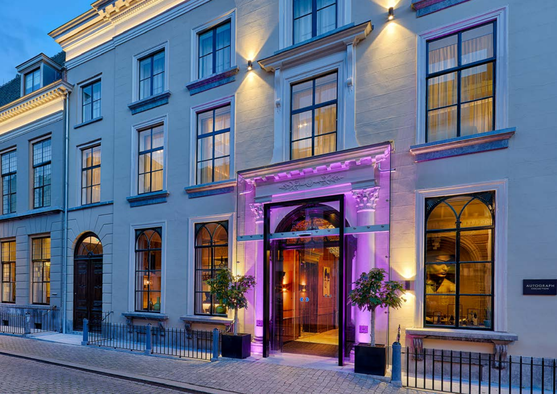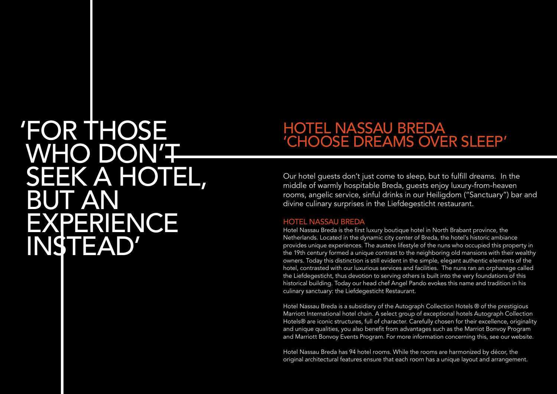## 'FOR THOSE WHO DON'T SEEK A HOTEL, BUT AN **EXPERIENCE** INSTEAD'

### HOTEL NASSAU BREDA 'CHOOSE DREAMS OVER SLEEP'

Our hotel guests don't just come to sleep, but to fulfill dreams. In the middle of warmly hospitable Breda, guests enjoy luxury-from-heaven rooms, angelic service, sinful drinks in our Heiligdom ("Sanctuary") bar and divine culinary surprises in the Liefdegesticht restaurant.

### HOTEL NASSAU BREDA

Hotel Nassau Breda is the first luxury boutique hotel in North Brabant province, the Netherlands. Located in the dynamic city center of Breda, the hotel's historic ambiance provides unique experiences. The austere lifestyle of the nuns who occupied this property in the 19th century formed a unique contrast to the neighboring old mansions with their wealthy owners. Today this distinction is still evident in the simple, elegant authentic elements of the hotel, contrasted with our luxurious services and facilities. The nuns ran an orphanage called the Liefdegesticht, thus devotion to serving others is built into the very foundations of this historical building. Today our head chef Angel Pando evokes this name and tradition in his culinary sanctuary: the Liefdegesticht Restaurant.

Hotel Nassau Breda is a subsidiary of the Autograph Collection Hotels ® of the prestigious Marriott International hotel chain. A select group of exceptional hotels Autograph Collection Hotels® are iconic structures, full of character. Carefully chosen for their excellence, originality and unique qualities, you also benefit from advantages such as the Marriot Bonvoy Program and Marriott Bonvoy Events Program. For more information concerning this, see our website.

Hotel Nassau Breda has 94 hotel rooms. While the rooms are harmonized by décor, the original architectural features ensure that each room has a unique layout and arrangement.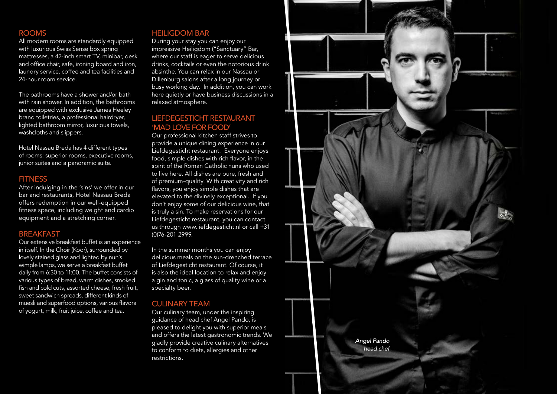### ROOMS

All modern rooms are standardly equipped with luxurious Swiss Sense box spring mattresses, a 42-inch smart TV, minibar, desk and office chair, safe, ironing board and iron, laundry service, coffee and tea facilities and 24-hour room service.

The bathrooms have a shower and/or bath with rain shower. In addition, the bathrooms are equipped with exclusive James Heeley brand toiletries, a professional hairdryer, lighted bathroom mirror, luxurious towels, washcloths and slippers.

Hotel Nassau Breda has 4 different types of rooms: superior rooms, executive rooms, junior suites and a panoramic suite.

### **FITNESS**

After indulging in the 'sins' we offer in our bar and restaurants, Hotel Nassau Breda offers redemption in our well-equipped fitness space, including weight and cardio equipment and a stretching corner.

### **BREAKFAST**

Our extensive breakfast buffet is an experience in itself. In the Choir (Koor), surrounded by lovely stained glass and lighted by nun's wimple lamps, we serve a breakfast buffet daily from 6:30 to 11:00. The buffet consists of various types of bread, warm dishes, smoked fish and cold cuts, assorted cheese, fresh fruit, sweet sandwich spreads, different kinds of muesli and superfood options, various flavors of yogurt, milk, fruit juice, coffee and tea.

### HEILIGDOM BAR

During your stay you can enjoy our impressive Heiligdom ("Sanctuary" Bar, where our staff is eager to serve delicious drinks, cocktails or even the notorious drink absinthe. You can relax in our Nassau or Dillenburg salons after a long journey or busy working day. In addition, you can work here quietly or have business discussions in a relaxed atmosphere.

### LIEFDEGESTICHT RESTAURANT 'MAD LOVE FOR FOOD'

Our professional kitchen staff strives to provide a unique dining experience in our Liefdegesticht restaurant. Everyone enjoys food, simple dishes with rich flavor, in the spirit of the Roman Catholic nuns who used to live here. All dishes are pure, fresh and of premium-quality. With creativity and rich flavors, you enjoy simple dishes that are elevated to the divinely exceptional. If you don't enjoy some of our delicious wine, that is truly a sin. To make reservations for our Liefdegesticht restaurant, you can contact us through www.liefdegesticht.nl or call +31 (0)76-201 2999.

In the summer months you can enjoy delicious meals on the sun-drenched terrace of Liefdegesticht restaurant. Of course, it is also the ideal location to relax and enjoy a gin and tonic, a glass of quality wine or a specialty beer.

### CULINARY TEAM

Our culinary team, under the inspiring guidance of head chef Angel Pando, is pleased to delight you with superior meals and offers the latest gastronomic trends. We gladly provide creative culinary alternatives to conform to diets, allergies and other restrictions.

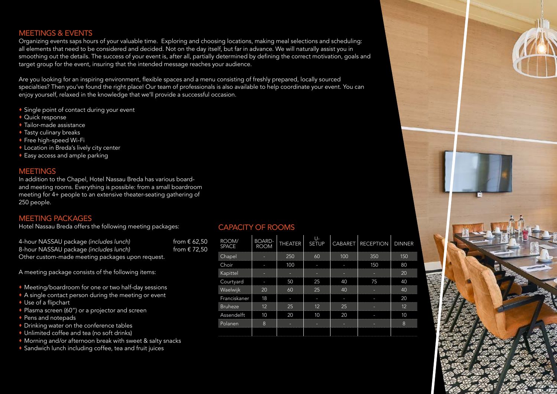### MEETINGS & EVENTS

Organizing events saps hours of your valuable time. Exploring and choosing locations, making meal selections and scheduling: all elements that need to be considered and decided. Not on the day itself, but far in advance. We will naturally assist you in smoothing out the details. The success of your event is, after all, partially determined by defining the correct motivation, goals and target group for the event, insuring that the intended message reaches your audience.

Are you looking for an inspiring environment, flexible spaces and a menu consisting of freshly prepared, locally sourced specialties? Then you've found the right place! Our team of professionals is also available to help coordinate your event. You can enjoy yourself, relaxed in the knowledge that we'll provide a successful occasion.

- · Single point of contact during your event
- · Quick response
- · Tailor-made assistance
- · Tasty culinary breaks
- · Free high-speed Wi-Fi
- · Location in Breda's lively city center
- · Easy access and ample parking

### MEETINGS

In addition to the Chapel, Hotel Nassau Breda has various boardand meeting rooms. Everything is possible: from a small boardroom meeting for 4+ people to an extensive theater-seating gathering of 250 people.

### MEETING PACKAGES

Hotel Nassau Breda offers the following meeting packages:

| 4-hour NASSAU package (includes lunch)           | from $\epsilon$ 62.50 |
|--------------------------------------------------|-----------------------|
| 8-hour NASSAU package (includes lunch)           | from $\epsilon$ 72.50 |
| Other custom-made meeting packages upon request. |                       |

A meeting package consists of the following items:

- · Meeting/boardroom for one or two half-day sessions
- · A single contact person during the meeting or event
- · Use of a flipchart
- · Plasma screen (60") or a projector and screen
- · Pens and notepads
- · Drinking water on the conference tables
- · Unlimited coffee and tea (no soft drinks)
- · Morning and/or afternoon break with sweet & salty snacks
- · Sandwich lunch including coffee, tea and fruit juices

### CAPACITY OF ROOMS

| ROOM/<br><b>SPACE</b> | BOARD-<br><b>ROOM</b> | <b>THEATER</b> | $U -$<br><b>SETUP</b> | <b>CABARET</b> | <b>RECEPTION</b> | <b>DINNER</b> |
|-----------------------|-----------------------|----------------|-----------------------|----------------|------------------|---------------|
| Chapel                |                       | 250            | 60                    | 100            | 350              | 150           |
| Choir                 | ٠                     | 100            |                       | ٠              | 150              | 80            |
| Kapittel              |                       | ۳              |                       |                |                  | 20            |
| Courtyard             |                       | 50             | 25                    | 40             | 75               | 40            |
| Waelwijk              | 20                    | 60             | 25                    | 40             |                  | 40            |
| Franciskaner          | 18                    | ı              |                       | ٠              |                  | 20            |
| <b>Bruheze</b>        | 12                    | 25             | 12                    | 25             |                  | 12            |
| Assendelft            | 10                    | 20             | 10                    | 20             | г                | 10            |
| Polanen               | 8                     | ۰              |                       |                |                  | 8             |
|                       |                       |                |                       |                |                  |               |

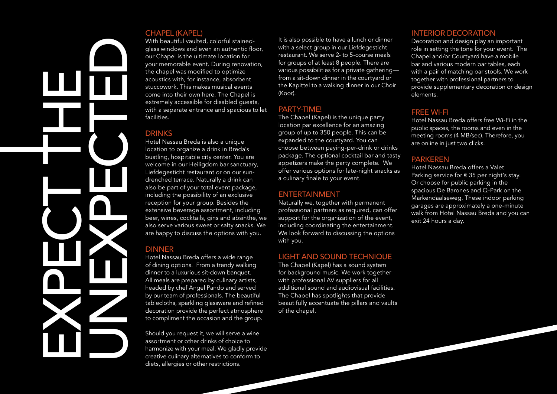# EXPECTEMENT UEXPECTED

### CHAPEL (KAPEL)

With beautiful vaulted, colorful stainedglass windows and even an authentic floor, our Chapel is the ultimate location for your memorable event. During renovation, the chapel was modified to optimize acoustics with, for instance, absorbent stuccowork. This makes musical events come into their own here. The Chapel is extremely accessible for disabled guests, with a separate entrance and spacious toilet facilities.

### DRINKS

Hotel Nassau Breda is also a unique location to organize a drink in Breda's bustling, hospitable city center. You are welcome in our Heiligdom bar sanctuary, Liefdegesticht restaurant or on our sundrenched terrace. Naturally a drink can also be part of your total event package, including the possibility of an exclusive reception for your group. Besides the extensive beverage assortment, including beer, wines, cocktails, gins and absinthe, we also serve various sweet or salty snacks. We are happy to discuss the options with you.

### DINNER

Hotel Nassau Breda offers a wide range of dining options. From a trendy walking dinner to a luxurious sit-down banquet. All meals are prepared by culinary artists, headed by chef Angel Pando and served by our team of professionals. The beautiful tablecloths, sparkling glassware and refined decoration provide the perfect atmosphere to compliment the occasion and the group.

Should you request it, we will serve a wine assortment or other drinks of choice to harmonize with your meal. We gladly provide creative culinary alternatives to conform to diets, allergies or other restrictions.

It is also possible to have a lunch or dinner with a select group in our Liefdegesticht restaurant. We serve 2- to 5-course meals for groups of at least 8 people. There are various possibilities for a private gathering from a sit-down dinner in the courtyard or the Kapittel to a walking dinner in our Choir (Koor).

### PARTY-TIME!

The Chapel (Kapel) is the unique party location par excellence for an amazing group of up to 350 people. This can be expanded to the courtyard. You can choose between paying-per-drink or drinks package. The optional cocktail bar and tasty appetizers make the party complete. We offer various options for late-night snacks as a culinary finale to your event.

### ENTERTAINMENT

Naturally we, together with permanent professional partners as required, can offer support for the organization of the event, including coordinating the entertainment. We look forward to discussing the options with you.

### LIGHT AND SOUND TECHNIQUE

The Chapel (Kapel) has a sound system for background music. We work together with professional AV suppliers for all additional sound and audiovisual facilities. The Chapel has spotlights that provide beautifully accentuate the pillars and vaults of the chapel.

### INTERIOR DECORATION

Decoration and design play an important role in setting the tone for your event. The Chapel and/or Courtyard have a mobile bar and various modern bar tables, each with a pair of matching bar stools. We work together with professional partners to provide supplementary decoration or design elements.

### FREE WI-FI

Hotel Nassau Breda offers free Wi-Fi in the public spaces, the rooms and even in the meeting rooms (4 MB/sec). Therefore, you are online in just two clicks.

### PARKEREN

Hotel Nassau Breda offers a Valet Parking service for € 35 per night's stay. Or choose for public parking in the spacious De Barones and Q-Park on the Markendaalseweg. These indoor parking garages are approximately a one-minute walk from Hotel Nassau Breda and you can exit 24 hours a day.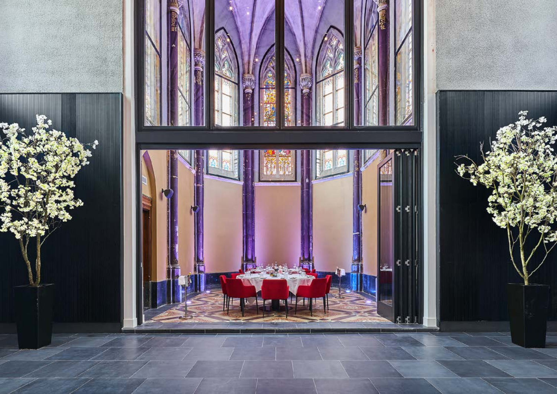